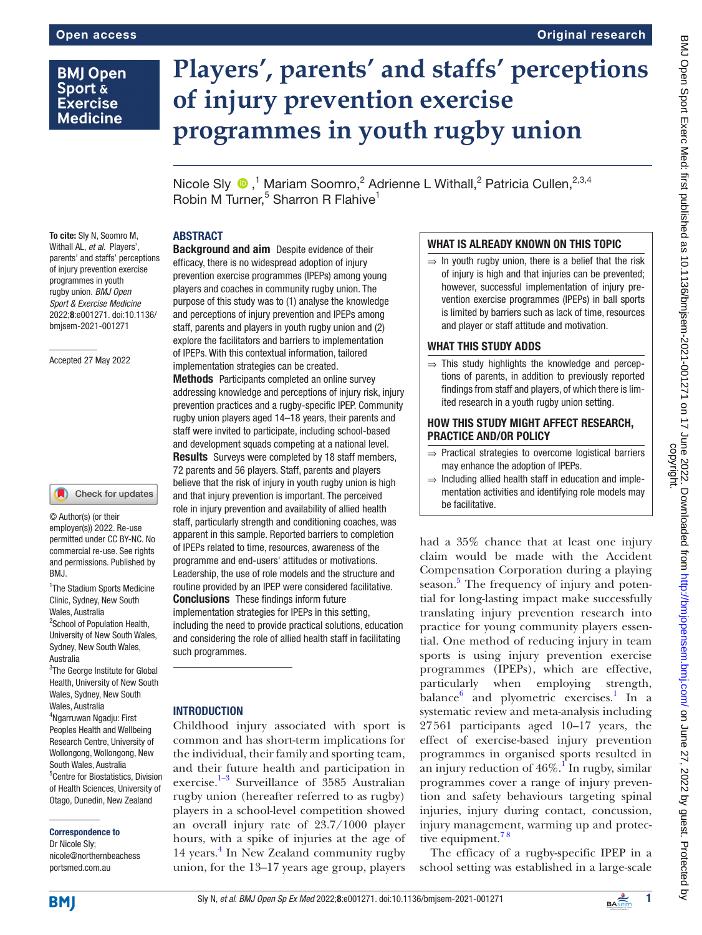## **BMJ Open** Sport & **Exercise Medicine**

# **Players', parents' and staffs' perceptions of injury prevention exercise programmes in youth rugby union**

NicoleSly  $\bigcirc$ ,<sup>1</sup> Mariam Soomro,<sup>2</sup> Adrienne L Withall,<sup>2</sup> Patricia Cullen,<sup>2,3,4</sup> Robin M Turner,<sup>5</sup> Sharron R Flahive<sup>1</sup>

## ABSTRACT

To cite: Sly N, Soomro M, Withall AL, *et al*. Players', parents' and staffs' perceptions of injury prevention exercise programmes in youth rugby union. *BMJ Open Sport & Exercise Medicine* 2022;8:e001271. doi:10.1136/ bmjsem-2021-001271

Accepted 27 May 2022

#### Check for updates

© Author(s) (or their employer(s)) 2022. Re-use permitted under CC BY-NC. No commercial re-use. See rights and permissions. Published by BMJ.

1 The Stadium Sports Medicine Clinic, Sydney, New South Wales, Australia <sup>2</sup>School of Population Health, University of New South Wales, Sydney, New South Wales, Australia

<sup>3</sup>The George Institute for Global Health, University of New South Wales, Sydney, New South Wales, Australia 4 Ngarruwan Ngadju: First Peoples Health and Wellbeing Research Centre, University of Wollongong, Wollongong, New South Wales, Australia 5 Centre for Biostatistics, Division of Health Sciences, University of Otago, Dunedin, New Zealand

#### Correspondence to

Dr Nicole Sly; nicole@northernbeachess portsmed.com.au

**Background and aim** Despite evidence of their efficacy, there is no widespread adoption of injury prevention exercise programmes (IPEPs) among young players and coaches in community rugby union. The purpose of this study was to (1) analyse the knowledge and perceptions of injury prevention and IPEPs among staff, parents and players in youth rugby union and (2) explore the facilitators and barriers to implementation of IPEPs. With this contextual information, tailored implementation strategies can be created.

**Methods** Participants completed an online survey addressing knowledge and perceptions of injury risk, injury prevention practices and a rugby-specific IPEP. Community rugby union players aged 14–18 years, their parents and staff were invited to participate, including school-based and development squads competing at a national level.

**Results** Surveys were completed by 18 staff members, 72 parents and 56 players. Staff, parents and players believe that the risk of injury in youth rugby union is high and that injury prevention is important. The perceived role in injury prevention and availability of allied health staff, particularly strength and conditioning coaches, was apparent in this sample. Reported barriers to completion of IPEPs related to time, resources, awareness of the programme and end-users' attitudes or motivations. Leadership, the use of role models and the structure and routine provided by an IPEP were considered facilitative. Conclusions These findings inform future implementation strategies for IPEPs in this setting, including the need to provide practical solutions, education and considering the role of allied health staff in facilitating such programmes.

#### **INTRODUCTION**

Childhood injury associated with sport is common and has short-term implications for the individual, their family and sporting team, and their future health and participation in exercise.<sup>1–3</sup> Surveillance of 3585 Australian rugby union (hereafter referred to as rugby) players in a school-level competition showed an overall injury rate of 23.7/1000 player hours, with a spike of injuries at the age of 1[4](#page-7-0) years.<sup>4</sup> In New Zealand community rugby union, for the 13–17 years age group, players

## WHAT IS ALREADY KNOWN ON THIS TOPIC

 $\Rightarrow$  In youth rugby union, there is a belief that the risk of injury is high and that injuries can be prevented; however, successful implementation of injury prevention exercise programmes (IPEPs) in ball sports is limited by barriers such as lack of time, resources and player or staff attitude and motivation.

## WHAT THIS STUDY ADDS

 $\Rightarrow$  This study highlights the knowledge and perceptions of parents, in addition to previously reported findings from staff and players, of which there is limited research in a youth rugby union setting.

## HOW THIS STUDY MIGHT AFFECT RESEARCH, PRACTICE AND/OR POLICY

- ⇒ Practical strategies to overcome logistical barriers may enhance the adoption of IPEPs.
- $\Rightarrow$  Including allied health staff in education and implementation activities and identifying role models may be facilitative.

had a 35% chance that at least one injury claim would be made with the Accident Compensation Corporation during a playing season.<sup>[5](#page-7-1)</sup> The frequency of injury and potential for long-lasting impact make successfully translating injury prevention research into practice for young community players essential. One method of reducing injury in team sports is using injury prevention exercise programmes (IPEPs), which are effective, particularly when employing strength, balance<sup>[6](#page-7-2)</sup> and plyometric exercises.<sup>1</sup> In a systematic review and meta-analysis including 27561 participants aged 10–17 years, the effect of exercise-based injury prevention programmes in organised sports resulted in an injury reduction of  $46\%$ .<sup>[1](#page-6-0)</sup> In rugby, similar programmes cover a range of injury prevention and safety behaviours targeting spinal injuries, injury during contact, concussion, injury management, warming up and protective equipment.<sup>78</sup>

The efficacy of a rugby-specific IPEP in a school setting was established in a large-scale

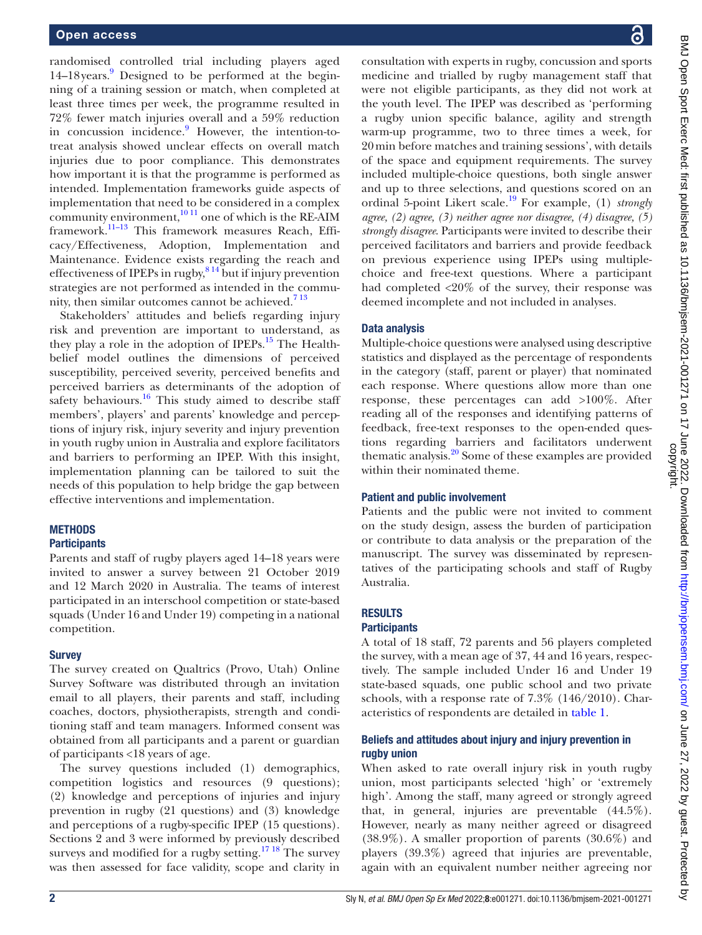randomised controlled trial including players aged 14–18years. [9](#page-7-4) Designed to be performed at the beginning of a training session or match, when completed at least three times per week, the programme resulted in 72% fewer match injuries overall and a 59% reduction in concussion incidence.<sup>9</sup> However, the intention-totreat analysis showed unclear effects on overall match injuries due to poor compliance. This demonstrates how important it is that the programme is performed as intended. Implementation frameworks guide aspects of implementation that need to be considered in a complex community environment, $10^{11}$  one of which is the RE-AIM framework.[11–13](#page-7-6) This framework measures Reach, Efficacy/Effectiveness, Adoption, Implementation and Maintenance. Evidence exists regarding the reach and effectiveness of IPEPs in rugby,  $814$  but if injury prevention strategies are not performed as intended in the community, then similar outcomes cannot be achieved. $713$ 

Stakeholders' attitudes and beliefs regarding injury risk and prevention are important to understand, as they play a role in the adoption of IPEPs. $15$  The Healthbelief model outlines the dimensions of perceived susceptibility, perceived severity, perceived benefits and perceived barriers as determinants of the adoption of safety behaviours.<sup>16</sup> This study aimed to describe staff members', players' and parents' knowledge and perceptions of injury risk, injury severity and injury prevention in youth rugby union in Australia and explore facilitators and barriers to performing an IPEP. With this insight, implementation planning can be tailored to suit the needs of this population to help bridge the gap between effective interventions and implementation.

# **METHODS**

#### **Participants**

Parents and staff of rugby players aged 14–18 years were invited to answer a survey between 21 October 2019 and 12 March 2020 in Australia. The teams of interest participated in an interschool competition or state-based squads (Under 16 and Under 19) competing in a national competition.

#### **Survey**

The survey created on Qualtrics (Provo, Utah) Online Survey Software was distributed through an invitation email to all players, their parents and staff, including coaches, doctors, physiotherapists, strength and conditioning staff and team managers. Informed consent was obtained from all participants and a parent or guardian of participants <18 years of age.

The survey questions included (1) demographics, competition logistics and resources (9 questions); (2) knowledge and perceptions of injuries and injury prevention in rugby (21 questions) and (3) knowledge and perceptions of a rugby-specific IPEP (15 questions). Sections 2 and 3 were informed by previously described surveys and modified for a rugby setting.<sup>[17 18](#page-7-10)</sup> The survey was then assessed for face validity, scope and clarity in

consultation with experts in rugby, concussion and sports medicine and trialled by rugby management staff that were not eligible participants, as they did not work at the youth level. The IPEP was described as 'performing a rugby union specific balance, agility and strength warm-up programme, two to three times a week, for 20min before matches and training sessions', with details of the space and equipment requirements. The survey included multiple-choice questions, both single answer and up to three selections, and questions scored on an ordinal 5-point Likert scale.[19](#page-7-11) For example, (1) *strongly agree, (2) agree, (3) neither agree nor disagree, (4) disagree, (5) strongly disagree*. Participants were invited to describe their perceived facilitators and barriers and provide feedback on previous experience using IPEPs using multiplechoice and free-text questions. Where a participant had completed <20% of the survey, their response was deemed incomplete and not included in analyses.

#### Data analysis

Multiple-choice questions were analysed using descriptive statistics and displayed as the percentage of respondents in the category (staff, parent or player) that nominated each response. Where questions allow more than one response, these percentages can add >100%. After reading all of the responses and identifying patterns of feedback, free-text responses to the open-ended questions regarding barriers and facilitators underwent thematic analysis.<sup>20</sup> Some of these examples are provided within their nominated theme.

#### Patient and public involvement

Patients and the public were not invited to comment on the study design, assess the burden of participation or contribute to data analysis or the preparation of the manuscript. The survey was disseminated by representatives of the participating schools and staff of Rugby Australia.

#### RESULTS

#### **Participants**

A total of 18 staff, 72 parents and 56 players completed the survey, with a mean age of 37, 44 and 16 years, respectively. The sample included Under 16 and Under 19 state-based squads, one public school and two private schools, with a response rate of 7.3% (146/2010). Characteristics of respondents are detailed in [table](#page-2-0) 1.

#### Beliefs and attitudes about injury and injury prevention in rugby union

When asked to rate overall injury risk in youth rugby union, most participants selected 'high' or 'extremely high'. Among the staff, many agreed or strongly agreed that, in general, injuries are preventable (44.5%). However, nearly as many neither agreed or disagreed (38.9%). A smaller proportion of parents (30.6%) and players (39.3%) agreed that injuries are preventable, again with an equivalent number neither agreeing nor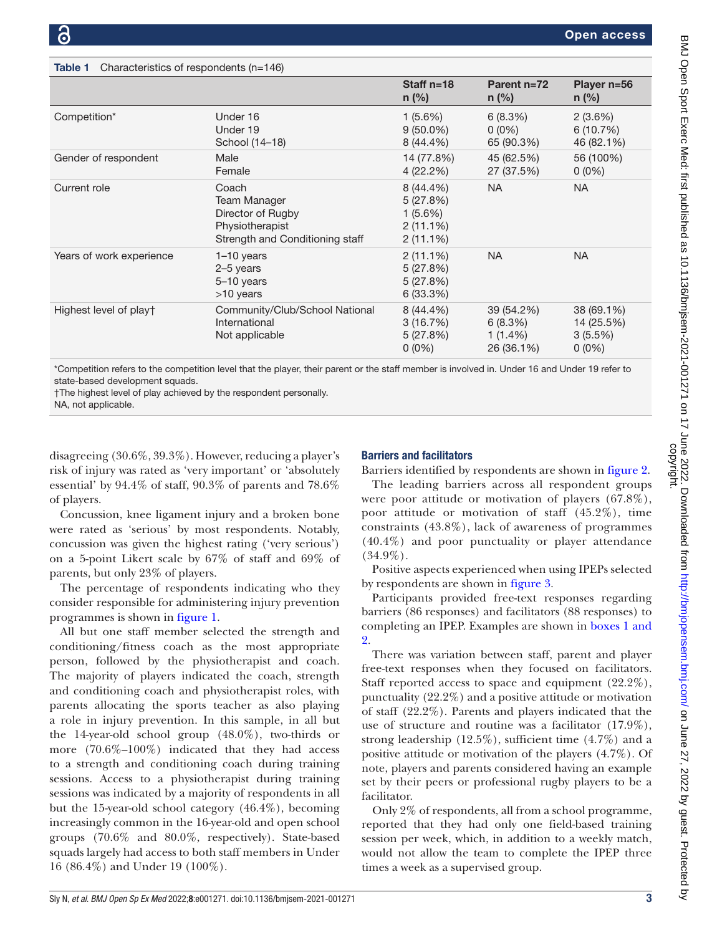<span id="page-2-0"></span>

| Characteristics of respondents (n=146)<br><b>Table 1</b> |                                                                                                         |                                                                   |                                                   |                                                 |
|----------------------------------------------------------|---------------------------------------------------------------------------------------------------------|-------------------------------------------------------------------|---------------------------------------------------|-------------------------------------------------|
|                                                          |                                                                                                         | Staff $n=18$<br>$n$ (%)                                           | Parent n=72<br>$n$ (%)                            | Player n=56<br>$n$ (%)                          |
| Competition*                                             | Under 16<br>Under 19<br>School (14-18)                                                                  | $1(5.6\%)$<br>$9(50.0\%)$<br>8 (44.4%)                            | 6(8.3%)<br>$0(0\%)$<br>65 (90.3%)                 | $2(3.6\%)$<br>6(10.7%)<br>46 (82.1%)            |
| Gender of respondent                                     | Male<br>Female                                                                                          | 14 (77.8%)<br>4 (22.2%)                                           | 45 (62.5%)<br>27 (37.5%)                          | 56 (100%)<br>$0(0\%)$                           |
| Current role                                             | Coach<br><b>Team Manager</b><br>Director of Rugby<br>Physiotherapist<br>Strength and Conditioning staff | 8 (44.4%)<br>5(27.8%)<br>$1(5.6\%)$<br>$2(11.1\%)$<br>$2(11.1\%)$ | <b>NA</b>                                         | <b>NA</b>                                       |
| Years of work experience                                 | $1-10$ years<br>$2-5$ years<br>5-10 years<br>$>10$ years                                                | $2(11.1\%)$<br>5(27.8%)<br>5(27.8%)<br>6(33.3%)                   | <b>NA</b>                                         | <b>NA</b>                                       |
| Highest level of play†                                   | Community/Club/School National<br>International<br>Not applicable                                       | 8 (44.4%)<br>3(16.7%)<br>5(27.8%)<br>$0(0\%)$                     | 39 (54.2%)<br>6(8.3%)<br>$1(1.4\%)$<br>26 (36.1%) | 38 (69.1%)<br>14 (25.5%)<br>3(5.5%)<br>$0(0\%)$ |

\*Competition refers to the competition level that the player, their parent or the staff member is involved in. Under 16 and Under 19 refer to state-based development squads.

†The highest level of play achieved by the respondent personally.

NA, not applicable.

disagreeing (30.6%, 39.3%). However, reducing a player's risk of injury was rated as 'very important' or 'absolutely essential' by 94.4% of staff, 90.3% of parents and 78.6% of players.

Concussion, knee ligament injury and a broken bone were rated as 'serious' by most respondents. Notably, concussion was given the highest rating ('very serious') on a 5-point Likert scale by 67% of staff and 69% of parents, but only 23% of players.

The percentage of respondents indicating who they consider responsible for administering injury prevention programmes is shown in [figure](#page-3-0) 1.

All but one staff member selected the strength and conditioning/fitness coach as the most appropriate person, followed by the physiotherapist and coach. The majority of players indicated the coach, strength and conditioning coach and physiotherapist roles, with parents allocating the sports teacher as also playing a role in injury prevention. In this sample, in all but the 14-year-old school group (48.0%), two-thirds or more (70.6%–100%) indicated that they had access to a strength and conditioning coach during training sessions. Access to a physiotherapist during training sessions was indicated by a majority of respondents in all but the 15-year-old school category (46.4%), becoming increasingly common in the 16-year-old and open school groups (70.6% and 80.0%, respectively). State-based squads largely had access to both staff members in Under 16 (86.4%) and Under 19 (100%).

## Barriers and facilitators

Barriers identified by respondents are shown in [figure](#page-4-0) 2.

The leading barriers across all respondent groups were poor attitude or motivation of players (67.8%), poor attitude or motivation of staff (45.2%), time constraints (43.8%), lack of awareness of programmes (40.4%) and poor punctuality or player attendance  $(34.9\%).$ 

Positive aspects experienced when using IPEPs selected by respondents are shown in [figure](#page-5-0) 3.

Participants provided free-text responses regarding barriers (86 responses) and facilitators (88 responses) to completing an IPEP. Examples are shown in [boxes](#page-5-1) 1 and [2](#page-5-1).

There was variation between staff, parent and player free-text responses when they focused on facilitators. Staff reported access to space and equipment (22.2%), punctuality (22.2%) and a positive attitude or motivation of staff (22.2%). Parents and players indicated that the use of structure and routine was a facilitator (17.9%), strong leadership (12.5%), sufficient time (4.7%) and a positive attitude or motivation of the players (4.7%). Of note, players and parents considered having an example set by their peers or professional rugby players to be a facilitator.

Only 2% of respondents, all from a school programme, reported that they had only one field-based training session per week, which, in addition to a weekly match, would not allow the team to complete the IPEP three times a week as a supervised group.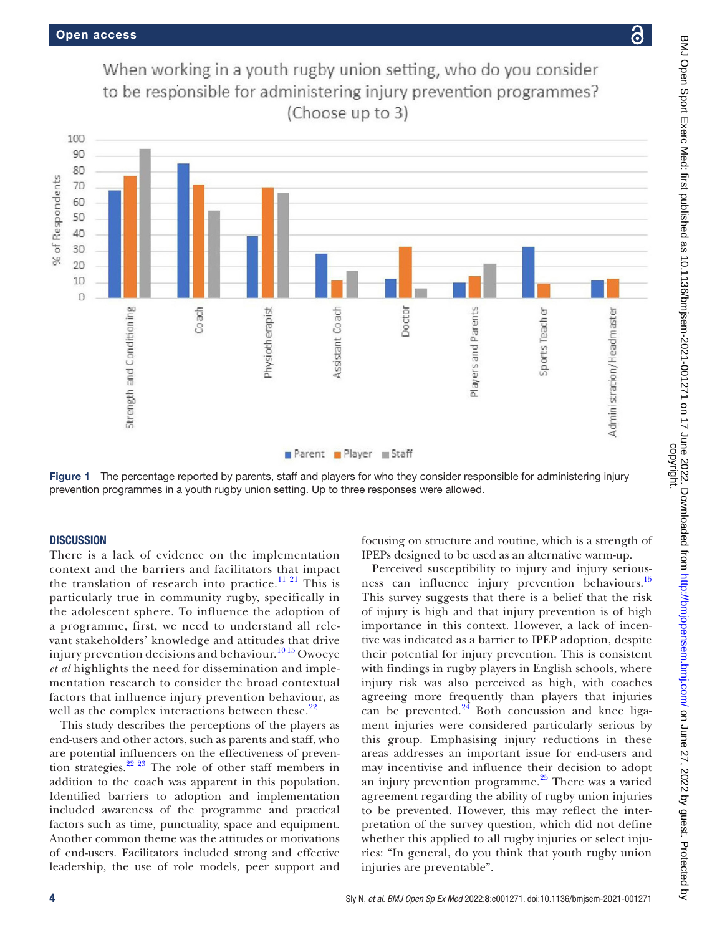



<span id="page-3-0"></span>Figure 1 The percentage reported by parents, staff and players for who they consider responsible for administering injury prevention programmes in a youth rugby union setting. Up to three responses were allowed.

#### **DISCUSSION**

There is a lack of evidence on the implementation context and the barriers and facilitators that impact the translation of research into practice.<sup>[11 21](#page-7-6)</sup> This is particularly true in community rugby, specifically in the adolescent sphere. To influence the adoption of a programme, first, we need to understand all relevant stakeholders' knowledge and attitudes that drive injury prevention decisions and behaviour.<sup>1015</sup> Owoeye *et al* highlights the need for dissemination and implementation research to consider the broad contextual factors that influence injury prevention behaviour, as well as the complex interactions between these. $22$ 

This study describes the perceptions of the players as end-users and other actors, such as parents and staff, who are potential influencers on the effectiveness of prevention strategies. $2^{22}$  <sup>23</sup> The role of other staff members in addition to the coach was apparent in this population. Identified barriers to adoption and implementation included awareness of the programme and practical factors such as time, punctuality, space and equipment. Another common theme was the attitudes or motivations of end-users. Facilitators included strong and effective leadership, the use of role models, peer support and

focusing on structure and routine, which is a strength of IPEPs designed to be used as an alternative warm-up.

Perceived susceptibility to injury and injury serious-ness can influence injury prevention behaviours.<sup>[15](#page-7-8)</sup> This survey suggests that there is a belief that the risk of injury is high and that injury prevention is of high importance in this context. However, a lack of incentive was indicated as a barrier to IPEP adoption, despite their potential for injury prevention. This is consistent with findings in rugby players in English schools, where injury risk was also perceived as high, with coaches agreeing more frequently than players that injuries can be prevented. $^{24}$  Both concussion and knee ligament injuries were considered particularly serious by this group. Emphasising injury reductions in these areas addresses an important issue for end-users and may incentivise and influence their decision to adopt an injury prevention programme.<sup>[25](#page-7-15)</sup> There was a varied agreement regarding the ability of rugby union injuries to be prevented. However, this may reflect the interpretation of the survey question, which did not define whether this applied to all rugby injuries or select injuries: "In general, do you think that youth rugby union injuries are preventable".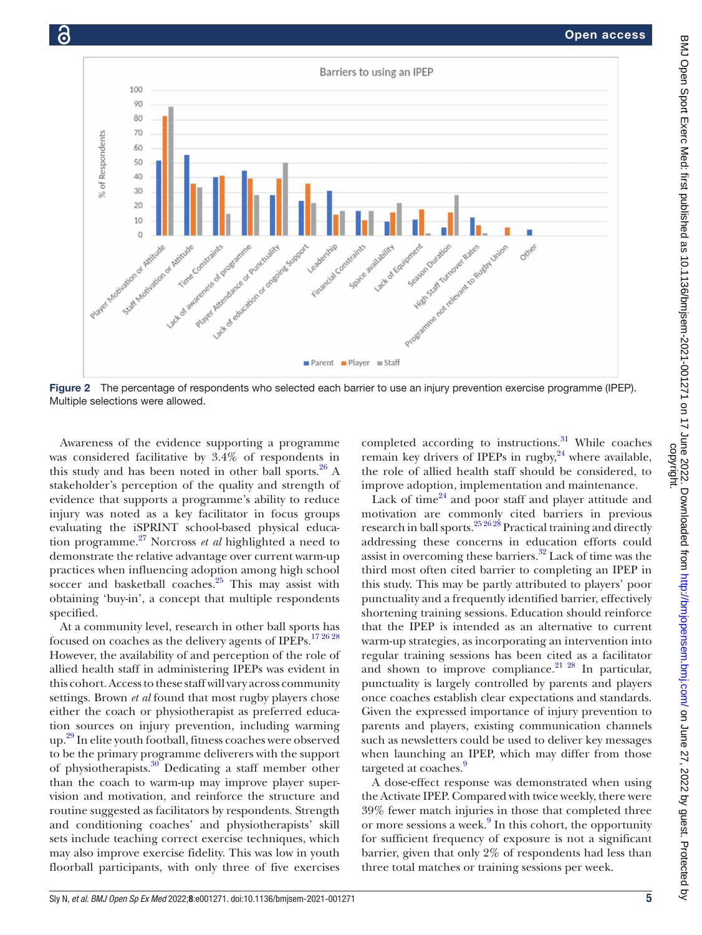

<span id="page-4-0"></span>Figure 2 The percentage of respondents who selected each barrier to use an injury prevention exercise programme (IPEP). Multiple selections were allowed.

Awareness of the evidence supporting a programme was considered facilitative by 3.4% of respondents in this study and has been noted in other ball sports.<sup>26</sup> A stakeholder's perception of the quality and strength of evidence that supports a programme's ability to reduce injury was noted as a key facilitator in focus groups evaluating the iSPRINT school-based physical education programme[.27](#page-7-17) Norcross *et al* highlighted a need to demonstrate the relative advantage over current warm-up practices when influencing adoption among high school soccer and basketball coaches.<sup>25</sup> This may assist with obtaining 'buy-in', a concept that multiple respondents specified.

ര

At a community level, research in other ball sports has focused on coaches as the delivery agents of IPEPs.<sup>17 26</sup> <sup>28</sup> However, the availability of and perception of the role of allied health staff in administering IPEPs was evident in this cohort. Access to these staff will vary across community settings. Brown *et al* found that most rugby players chose either the coach or physiotherapist as preferred education sources on injury prevention, including warming up.[29](#page-7-18) In elite youth football, fitness coaches were observed to be the primary programme deliverers with the support of physiotherapists.[30](#page-7-19) Dedicating a staff member other than the coach to warm-up may improve player supervision and motivation, and reinforce the structure and routine suggested as facilitators by respondents. Strength and conditioning coaches' and physiotherapists' skill sets include teaching correct exercise techniques, which may also improve exercise fidelity. This was low in youth floorball participants, with only three of five exercises

completed according to instructions.<sup>31</sup> While coaches remain key drivers of IPEPs in rugby, $24$  where available, the role of allied health staff should be considered, to improve adoption, implementation and maintenance.

Lack of time $^{24}$  and poor staff and player attitude and motivation are commonly cited barriers in previous research in ball sports.<sup>25 26 28</sup> Practical training and directly addressing these concerns in education efforts could assist in overcoming these barriers. $32$  Lack of time was the third most often cited barrier to completing an IPEP in this study. This may be partly attributed to players' poor punctuality and a frequently identified barrier, effectively shortening training sessions. Education should reinforce that the IPEP is intended as an alternative to current warm-up strategies, as incorporating an intervention into regular training sessions has been cited as a facilitator and shown to improve compliance. $21 28$  In particular, punctuality is largely controlled by parents and players once coaches establish clear expectations and standards. Given the expressed importance of injury prevention to parents and players, existing communication channels such as newsletters could be used to deliver key messages when launching an IPEP, which may differ from those targeted at coaches.<sup>9</sup>

A dose-effect response was demonstrated when using the Activate IPEP. Compared with twice weekly, there were 39% fewer match injuries in those that completed three or more sessions a week.<sup>9</sup> In this cohort, the opportunity for sufficient frequency of exposure is not a significant barrier, given that only 2% of respondents had less than three total matches or training sessions per week.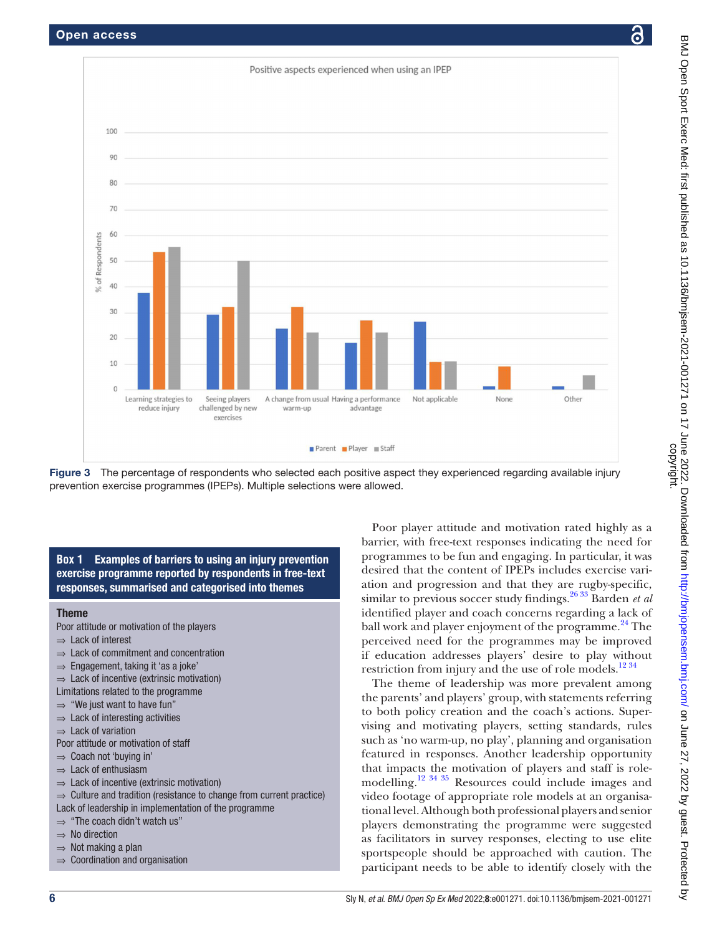



<span id="page-5-0"></span>Figure 3 The percentage of respondents who selected each positive aspect they experienced regarding available injury prevention exercise programmes (IPEPs). Multiple selections were allowed.

## **Box 1** Examples of barriers to using an injury prevention exercise programme reported by respondents in free-text responses, summarised and categorised into themes

#### <span id="page-5-1"></span>**Theme**

Poor attitude or motivation of the players

- ⇒ Lack of interest
- ⇒ Lack of commitment and concentration
- ⇒ Engagement, taking it 'as a joke'
- $\Rightarrow$  Lack of incentive (extrinsic motivation)
- Limitations related to the programme
- ⇒ "We just want to have fun"
- $\Rightarrow$  Lack of interesting activities
- ⇒ Lack of variation
- Poor attitude or motivation of staff
- $\Rightarrow$  Coach not 'buying in'
- ⇒ Lack of enthusiasm
- $\Rightarrow$  Lack of incentive (extrinsic motivation)
- $\Rightarrow$  Culture and tradition (resistance to change from current practice) Lack of leadership in implementation of the programme
- ⇒ "The coach didn't watch us"
- ⇒ No direction
- ⇒ Not making a plan
- Coordination and organisation

Poor player attitude and motivation rated highly as a barrier, with free-text responses indicating the need for programmes to be fun and engaging. In particular, it was desired that the content of IPEPs includes exercise variation and progression and that they are rugby-specific, similar to previous soccer study findings.[26 33](#page-7-16) Barden *et al* identified player and coach concerns regarding a lack of ball work and player enjoyment of the programme.<sup>[24](#page-7-14)</sup> The perceived need for the programmes may be improved if education addresses players' desire to play without restriction from injury and the use of role models.<sup>[12 34](#page-7-23)</sup>

The theme of leadership was more prevalent among the parents' and players' group, with statements referring to both policy creation and the coach's actions. Supervising and motivating players, setting standards, rules such as 'no warm-up, no play', planning and organisation featured in responses. Another leadership opportunity that impacts the motivation of players and staff is rolemodelling[.12 34 35](#page-7-23) Resources could include images and video footage of appropriate role models at an organisational level. Although both professional players and senior players demonstrating the programme were suggested as facilitators in survey responses, electing to use elite sportspeople should be approached with caution. The participant needs to be able to identify closely with the

ဥ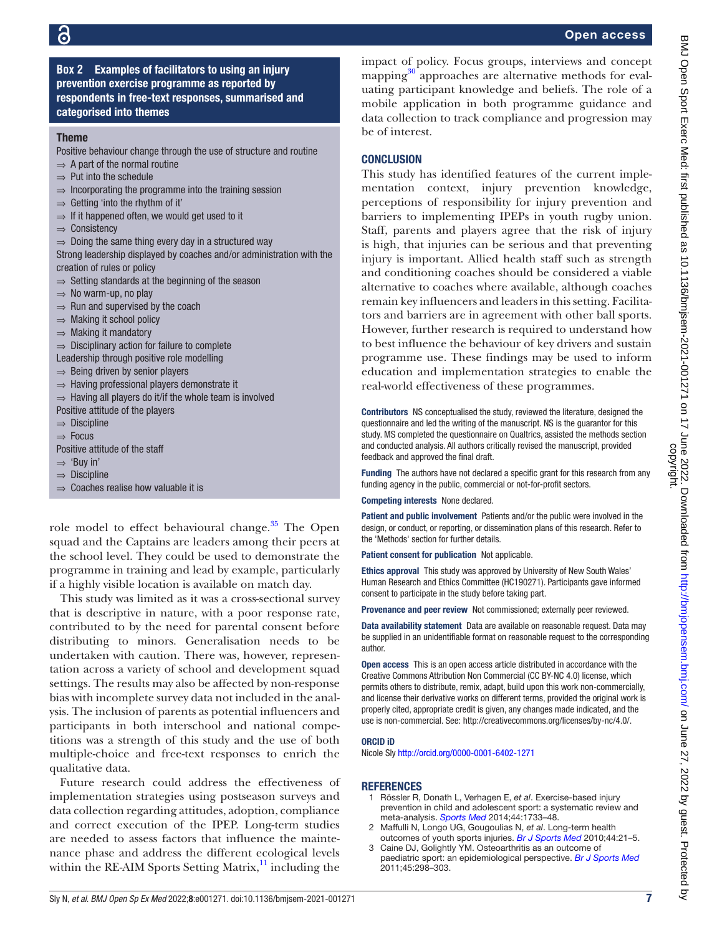**Theme** 

⇒ Consistency

## be of interest. **CONCLUSION Box 2** Examples of facilitators to using an injury prevention exercise programme as reported by respondents in free-text responses, summarised and categorised into themes Positive behaviour change through the use of structure and routine  $\Rightarrow$  A part of the normal routine  $\Rightarrow$  Put into the schedule  $\Rightarrow$  Incorporating the programme into the training session  $\Rightarrow$  Getting 'into the rhythm of it' ⇒ If it happened often, we would get used to it ⇒ Doing the same thing every day in a structured way Strong leadership displayed by coaches and/or administration with the creation of rules or policy  $\Rightarrow$  Setting standards at the beginning of the season ⇒ No warm-up, no play  $\Rightarrow$  Run and supervised by the coach ⇒ Making it school policy ⇒ Making it mandatory ⇒ Disciplinary action for failure to complete Leadership through positive role modelling

⇒ Being driven by senior players

- ⇒ Having professional players demonstrate it
- ⇒ Having all players do it/if the whole team is involved
- Positive attitude of the players
- ⇒ Discipline
- ⇒ Focus
- Positive attitude of the staff
- ⇒ 'Buy in'
- ⇒ Discipline
- $\Rightarrow$  Coaches realise how valuable it is

role model to effect behavioural change. $35$  The Open squad and the Captains are leaders among their peers at the school level. They could be used to demonstrate the programme in training and lead by example, particularly if a highly visible location is available on match day.

This study was limited as it was a cross-sectional survey that is descriptive in nature, with a poor response rate, contributed to by the need for parental consent before distributing to minors. Generalisation needs to be undertaken with caution. There was, however, representation across a variety of school and development squad settings. The results may also be affected by non-response bias with incomplete survey data not included in the analysis. The inclusion of parents as potential influencers and participants in both interschool and national competitions was a strength of this study and the use of both multiple-choice and free-text responses to enrich the qualitative data.

Future research could address the effectiveness of implementation strategies using postseason surveys and data collection regarding attitudes, adoption, compliance and correct execution of the IPEP. Long-term studies are needed to assess factors that influence the maintenance phase and address the different ecological levels within the RE-AIM Sports Setting Matrix, $\frac{11}{11}$  $\frac{11}{11}$  $\frac{11}{11}$  including the

impact of policy. Focus groups, interviews and concept mapping $30$  approaches are alternative methods for evaluating participant knowledge and beliefs. The role of a mobile application in both programme guidance and data collection to track compliance and progression may

This study has identified features of the current implementation context, injury prevention knowledge, perceptions of responsibility for injury prevention and barriers to implementing IPEPs in youth rugby union. Staff, parents and players agree that the risk of injury is high, that injuries can be serious and that preventing injury is important. Allied health staff such as strength and conditioning coaches should be considered a viable alternative to coaches where available, although coaches remain key influencers and leaders in this setting. Facilitators and barriers are in agreement with other ball sports. However, further research is required to understand how to best influence the behaviour of key drivers and sustain programme use. These findings may be used to inform education and implementation strategies to enable the real-world effectiveness of these programmes.

Contributors NS conceptualised the study, reviewed the literature, designed the questionnaire and led the writing of the manuscript. NS is the guarantor for this study. MS completed the questionnaire on Qualtrics, assisted the methods section and conducted analysis. All authors critically revised the manuscript, provided feedback and approved the final draft.

Funding The authors have not declared a specific grant for this research from any funding agency in the public, commercial or not-for-profit sectors.

Competing interests None declared.

Patient and public involvement Patients and/or the public were involved in the design, or conduct, or reporting, or dissemination plans of this research. Refer to the 'Methods' section for further details.

Patient consent for publication Not applicable.

Ethics approval This study was approved by University of New South Wales' Human Research and Ethics Committee (HC190271). Participants gave informed consent to participate in the study before taking part.

Provenance and peer review Not commissioned; externally peer reviewed.

Data availability statement Data are available on reasonable request. Data may be supplied in an unidentifiable format on reasonable request to the corresponding author.

Open access This is an open access article distributed in accordance with the Creative Commons Attribution Non Commercial (CC BY-NC 4.0) license, which permits others to distribute, remix, adapt, build upon this work non-commercially, and license their derivative works on different terms, provided the original work is properly cited, appropriate credit is given, any changes made indicated, and the use is non-commercial. See:<http://creativecommons.org/licenses/by-nc/4.0/>.

#### ORCID iD

Nicole Sly <http://orcid.org/0000-0001-6402-1271>

#### REFERENCES

- <span id="page-6-0"></span>1 Rössler R, Donath L, Verhagen E, *et al*. Exercise-based injury prevention in child and adolescent sport: a systematic review and meta-analysis. *[Sports Med](http://dx.doi.org/10.1007/s40279-014-0234-2)* 2014;44:1733–48.
- 2 Maffulli N, Longo UG, Gougoulias N, *et al*. Long-term health outcomes of youth sports injuries. *[Br J Sports Med](http://dx.doi.org/10.1136/bjsm.2009.069526)* 2010;44:21–5.
- 3 Caine DJ, Golightly YM. Osteoarthritis as an outcome of paediatric sport: an epidemiological perspective. *[Br J Sports Med](http://dx.doi.org/10.1136/bjsm.2010.081984)* 2011;45:298–303.